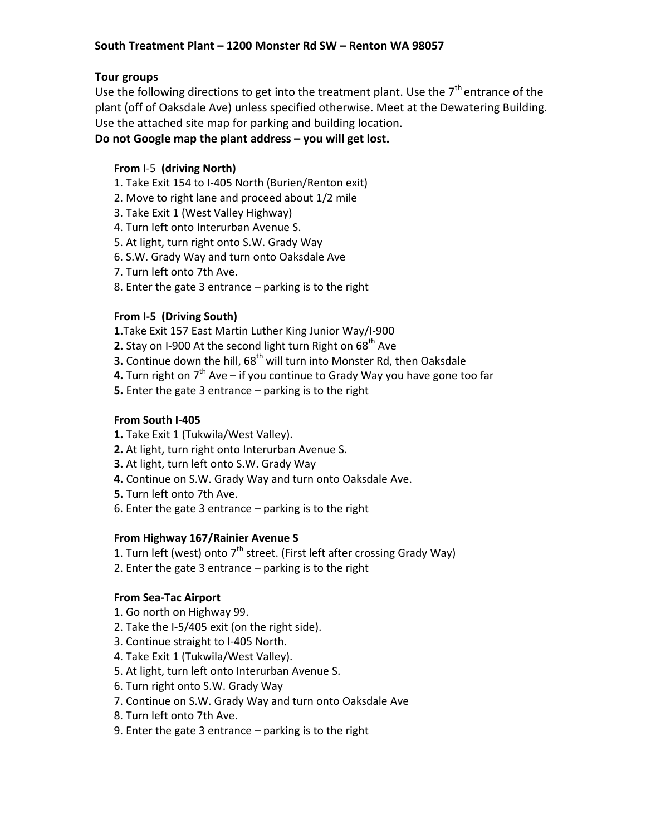# South Treatment Plant – 1200 Monster Rd SW – Renton WA 98057

### Tour groups

Use the following directions to get into the treatment plant. Use the  $7<sup>th</sup>$  entrance of the plant (off of Oaksdale Ave) unless specified otherwise. Meet at the Dewatering Building. Use the attached site map for parking and building location.

## Do not Google map the plant address – you will get lost.

# From I-5 (driving North)

- 1. Take Exit 154 to I-405 North (Burien/Renton exit)
- 2. Move to right lane and proceed about 1/2 mile
- 3. Take Exit 1 (West Valley Highway)
- 4. Turn left onto Interurban Avenue S.
- 5. At light, turn right onto S.W. Grady Way
- 6. S.W. Grady Way and turn onto Oaksdale Ave
- 7. Turn left onto 7th Ave.
- 8. Enter the gate 3 entrance parking is to the right

## From I-5 (Driving South)

- 1.Take Exit 157 East Martin Luther King Junior Way/I-900
- **2.** Stay on I-900 At the second light turn Right on  $68<sup>th</sup>$  Ave
- **3.** Continue down the hill,  $68<sup>th</sup>$  will turn into Monster Rd, then Oaksdale
- **4.** Turn right on  $7<sup>th</sup>$  Ave if you continue to Grady Way you have gone too far
- 5. Enter the gate 3 entrance parking is to the right

#### From South I-405

- 1. Take Exit 1 (Tukwila/West Valley).
- 2. At light, turn right onto Interurban Avenue S.
- 3. At light, turn left onto S.W. Grady Way
- 4. Continue on S.W. Grady Way and turn onto Oaksdale Ave.
- 5. Turn left onto 7th Ave.
- 6. Enter the gate 3 entrance parking is to the right

#### From Highway 167/Rainier Avenue S

- 1. Turn left (west) onto  $7<sup>th</sup>$  street. (First left after crossing Grady Way)
- 2. Enter the gate 3 entrance parking is to the right

#### From Sea-Tac Airport

- 1. Go north on Highway 99.
- 2. Take the I-5/405 exit (on the right side).
- 3. Continue straight to I-405 North.
- 4. Take Exit 1 (Tukwila/West Valley).
- 5. At light, turn left onto Interurban Avenue S.
- 6. Turn right onto S.W. Grady Way
- 7. Continue on S.W. Grady Way and turn onto Oaksdale Ave
- 8. Turn left onto 7th Ave.
- 9. Enter the gate 3 entrance parking is to the right